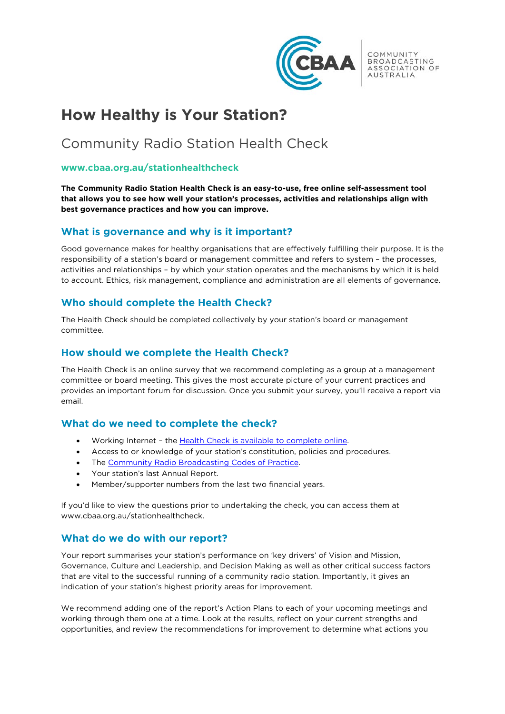

COMMUNITY BROADCASTING ASSOCIATION OF **AUSTRALIA** 

# **How Healthy is Your Station?**

# Community Radio Station Health Check

#### **www.cbaa.org.au/stationhealthcheck**

**The Community Radio Station Health Check is an easy-to-use, free online self-assessment tool that allows you to see how well your station's processes, activities and relationships align with best governance practices and how you can improve.**

#### **What is governance and why is it important?**

Good governance makes for healthy organisations that are effectively fulfilling their purpose. It is the responsibility of a station's board or management committee and refers to system – the processes, activities and relationships – by which your station operates and the mechanisms by which it is held to account. Ethics, risk management, compliance and administration are all elements of governance.

# **Who should complete the Health Check?**

The Health Check should be completed collectively by your station's board or management committee.

#### **How should we complete the Health Check?**

The Health Check is an online survey that we recommend completing as a group at a management committee or board meeting. This gives the most accurate picture of your current practices and provides an important forum for discussion. Once you submit your survey, you'll receive a report via email.

# **What do we need to complete the check?**

- Working Internet the **Health Check is available to complete online.**
- Access to or knowledge of your station's constitution, policies and procedures.
- The [Community Radio Broadcasting Codes of Practice.](https://www.cbaa.org.au/resource/community-radio-broadcasting-codes-practice)
- Your station's last Annual Report.
- Member/supporter numbers from the last two financial years.

If you'd like to view the questions prior to undertaking the check, you can access them at www.cbaa.org.au/stationhealthcheck.

#### **What do we do with our report?**

Your report summarises your station's performance on 'key drivers' of Vision and Mission, Governance, Culture and Leadership, and Decision Making as well as other critical success factors that are vital to the successful running of a community radio station. Importantly, it gives an indication of your station's highest priority areas for improvement.

We recommend adding one of the report's Action Plans to each of your upcoming meetings and working through them one at a time. Look at the results, reflect on your current strengths and opportunities, and review the recommendations for improvement to determine what actions you